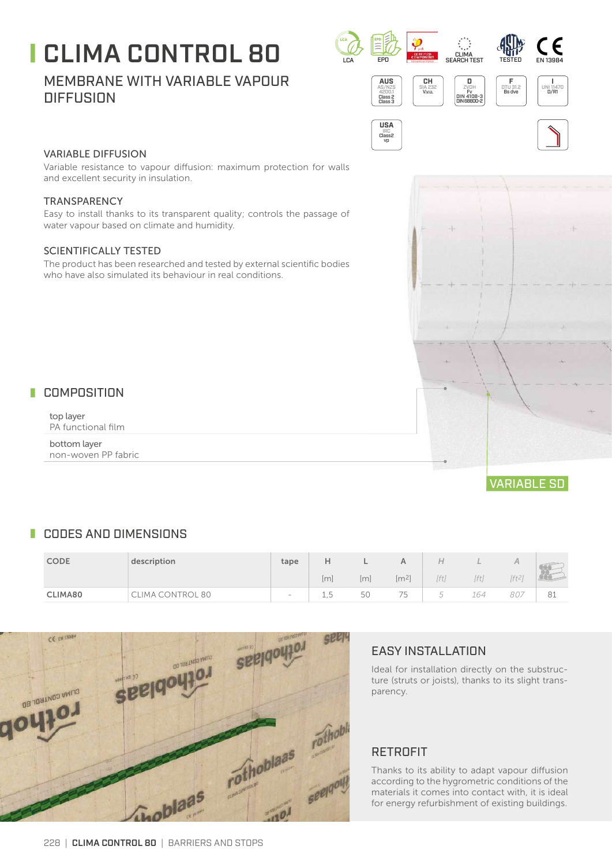# $\blacksquare$  CLIMA CONTROL 80  $\blacksquare$

# MEMBRANE WITH VARIABLE VAPOUR **DIFFUSION**



**USA** IRC Class2 vp



Variable resistance to vapour diffusion: maximum protection for walls and excellent security in insulation.

#### **TRANSPARENCY**

Easy to install thanks to its transparent quality; controls the passage of water vapour based on climate and humidity.

#### SCIENTIFICALLY TESTED

The product has been researched and tested by external scientific bodies who have also simulated its behaviour in real conditions.

# **COMPOSITION**

top layer PA functional film

bottom layer non-woven PP fabric



# **CODES AND DIMENSIONS**

| <b>CODE</b> | description     | tape   |                 |                     |                                |        |      |           |    |
|-------------|-----------------|--------|-----------------|---------------------|--------------------------------|--------|------|-----------|----|
|             |                 |        | Im              | $\lfloor m \rfloor$ | $\rm [m^2]$                    | [ft    | 'ft) | $ft^{27}$ |    |
| CLIMA80     | LIMA CONTROL 80 | $\sim$ | $_{+}$ , $\sim$ | 50                  | $\overline{\phantom{a}}$<br>15 | $\sim$ | 164  | 807       | 81 |



# EASY INSTALLATION

Ideal for installation directly on the substructure (struts or joists), thanks to its slight transparency.

#### RETROFIT

Thanks to its ability to adapt vapour diffusion according to the hygrometric conditions of the materials it comes into contact with, it is ideal for energy refurbishment of existing buildings.